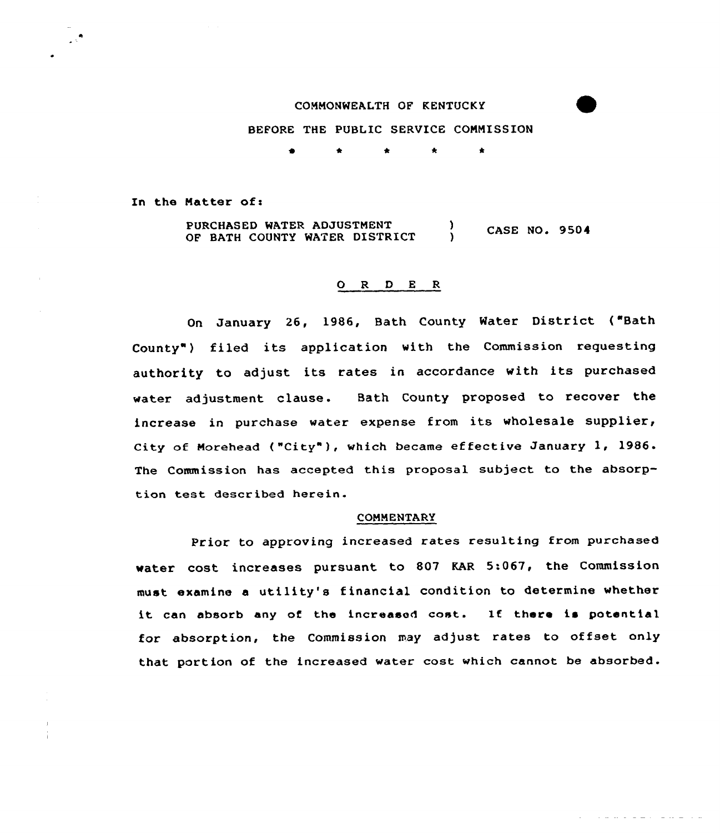# COMMONWEALTH OF KENTUCKY

BEFORE THE PUBLIC SERUICE CONNISSION

0 \* \* \*

In the Natter of <sup>i</sup>

PURCHASED WATER ADJUSTMENT (1997) CASE NO. 9504 OF BATH COUNTY WATER DISTRICT

## 0 <sup>R</sup> <sup>D</sup> <sup>E</sup> <sup>R</sup>

On January 26, 1986, Bath County Water District ("Bath County") filed its application with the Commission requesting authority to adjust its rates in accordance with its purchased water adjustment clause. Bath County proposed to recover the increase in purchase water expense from its wholesale supplier, City of Norehead ("City" ), which became effective January 1, 1986. The Commission has accepted this proposal subject to the absorption test described herein.

### CONNENTARY

Prior to approving increased rates resulting from purchased water cost increases pursuant to 807 EAR 5:067, the Commission must examine a utility's financial condition to determine whether it can absorb any of the increased cost. If there is potential for absorption, the Commission may adjust rates to offset only that portion of the increased water cost which cannot be absorbed.

and and relationship as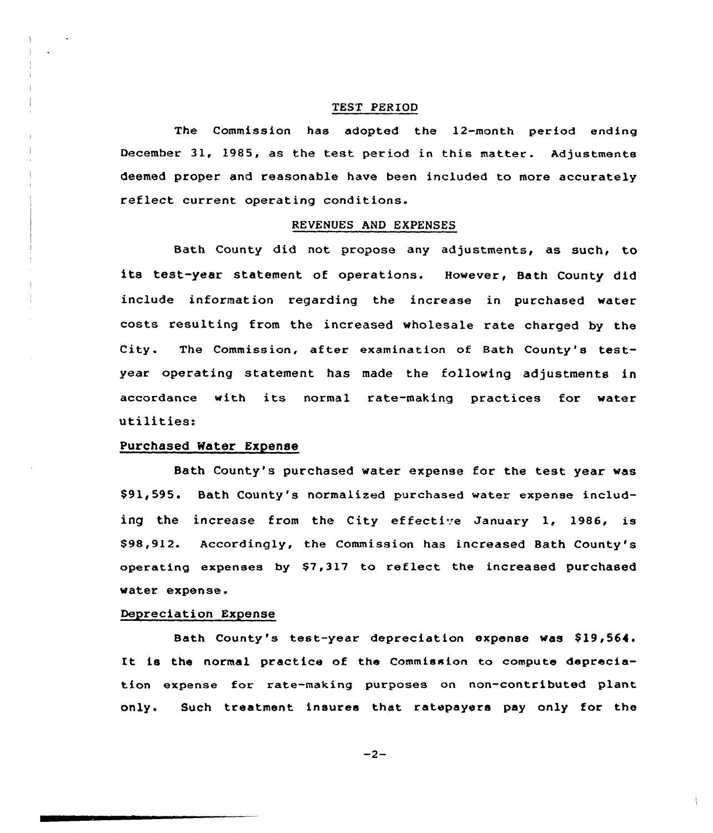### TEST PERIOD

The Commission has adopted the 12-month period ending December 31, 1985, as the test period in this matter. Adjustments deemed proper and reasonable have been included to more accurately reflect current operating conditions.

# REVENUES AND EXPENSES

Bath County did not propose any adjustments, as such, to its test-year statement of operations. However, Bath County did include information regarding the increase in purchased water costs resulting from the increased wholesale rate charged by the City. The Commission, after examination of Bath County's testyear operating statement has made the following adjustments in accordance with its normal rate-making practices for water utilities:

# Purchased Water Expense

Bath County's purchased water expense for the test year was \$91,595. Bath County's normalized purchased water expense including the increase from the City effective January 1, 1986, is \$ 98,912. Accordingly, the Commission has increased Bath County's operating erpenses by \$7,317 to reflect the increased purchased water expense.

## Depreciation Expense

Bath County's test-year depreciation expense was \$19,564. It is the normal practice of the Commission to compute depreciation expense for rate-making purposes on non-contributed plant only. Such treatment insuree that ratepayers pay only for the

 $-2-$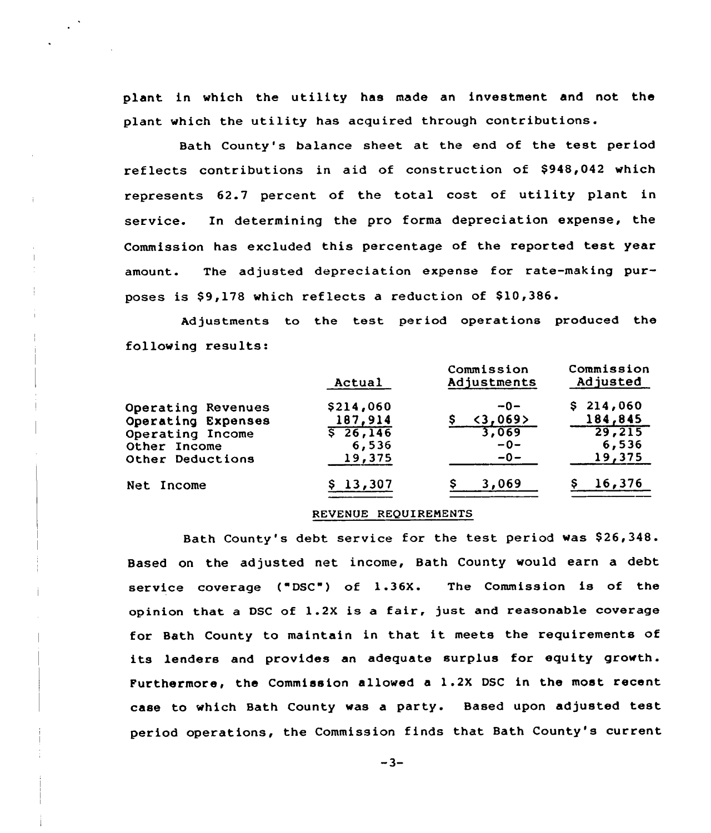plant in which the utility has made an investment and not the plant which the utility has acquired through contributions.

Bath County's balance sheet at the end of the test period reflects contributions in aid of construction of \$948,042 which represents 62.7 percent of the total cost of utility plant in service. In determining the pro forma depreciation expense, the Commission has excluded this percentage of the reported test year amount. The adjusted depreciation expense for rate-making purposes is \$9,178 which reflects a reduction of \$10,386.

Adjustments to the test period operations produced the following results:

|                    | Actual            | Commission<br>Adjustments | Commission<br>Adjusted |
|--------------------|-------------------|---------------------------|------------------------|
| Operating Revenues | \$214,060         | $-0-$                     | \$214,060              |
| Operating Expenses | 187,914           | <3,069>                   | 184,845                |
| Operating Income   | $\sqrt{5}$ 26,146 | 3,069                     | 29,215                 |
| Other Income       | 6,536             | $-0-$                     | 6,536                  |
| Other Deductions   | 19,375            | $-0-$                     | 19,375                 |
| Net Income         | 13,307            | 3,069                     | 16,376                 |

#### REVENUE REQUIRENENTS

Bath County's debt service for the test period was \$26,348. Based on the adjusted net income, Bath County would earn a debt service coverage ("DSC") of 1.36X. The Commission is of the opinion that <sup>a</sup> DSC of 1.2X is a fair, just and reasonable coverage for Bath County to maintain in that it meets the requirements of its lenders and provides an adequate surplus for equity growth. Purthermore, the Commission allowed a 1.2X DSC in the most recent case to which Bath County was <sup>a</sup> party. Based upon adjusted test period operations, the Commission finds that Bath County's current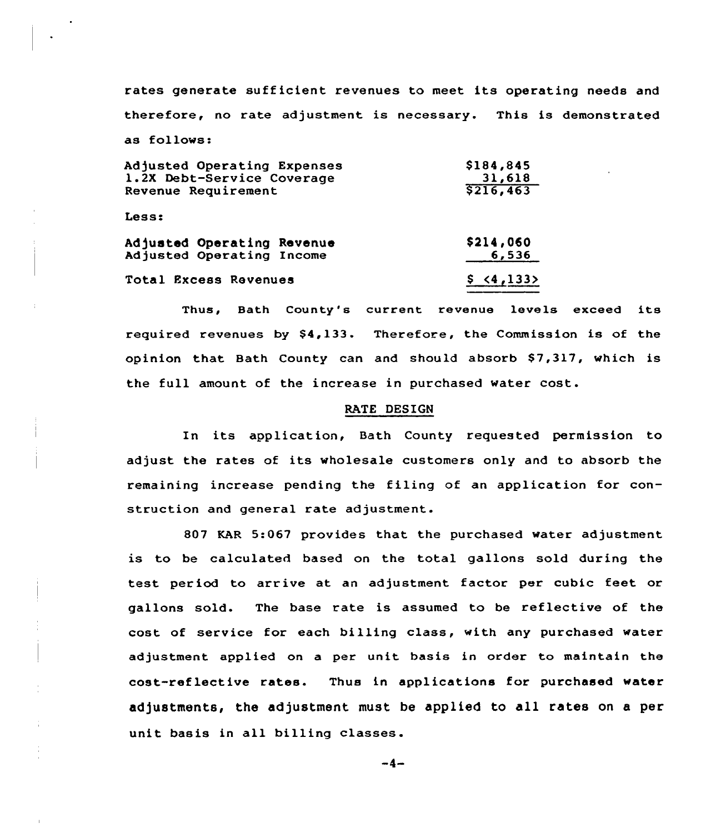rates generate sufficient revenues to meet its operating needs and therefore, no rate adjustment is necessary. This is demonstrated as follows: **A 1946 1946** 

| Adjusted Operating Expenses | \$184,845   |  |
|-----------------------------|-------------|--|
| 1.2X Debt-Service Coverage  | 31,618      |  |
| Revenue Requirement         | \$216,463   |  |
| Less:                       |             |  |
| Adjusted Operating Revenue  | \$214,060   |  |
| Adjusted Operating Income   | 6,536       |  |
| Total Excess Revenues       | \$ < 4,133> |  |

Thus, Bath County's current revenue levels exceed its required revenues by \$4,133. Therefore, the Commission is of the opinion that Bath County can and should absorb \$7,317, which is the full amount of the increase in purchased water cost.

#### RATE DESIGN

In its application, Bath County requested permission to adjust the rates of its wholesale customers only and to absorb the remaining increase pending the filing of an application for construction and general rate adjustment.

807 KAR 5:067 provides that the purchased water adjustment is to be calculated based on the total gallons sold during the test period to arrive at an adjustment factor per cubic feet or gallons sold. The base rate is assumed to be reflective of the cost of service for each billing class, with any purchased water adjustment applied on a per unit basis in order to maintain the cost-reflective rates. Thus in applications for purchased water adjustments, the adjustment must be applied to all rates on a per unit basis in all billing classes.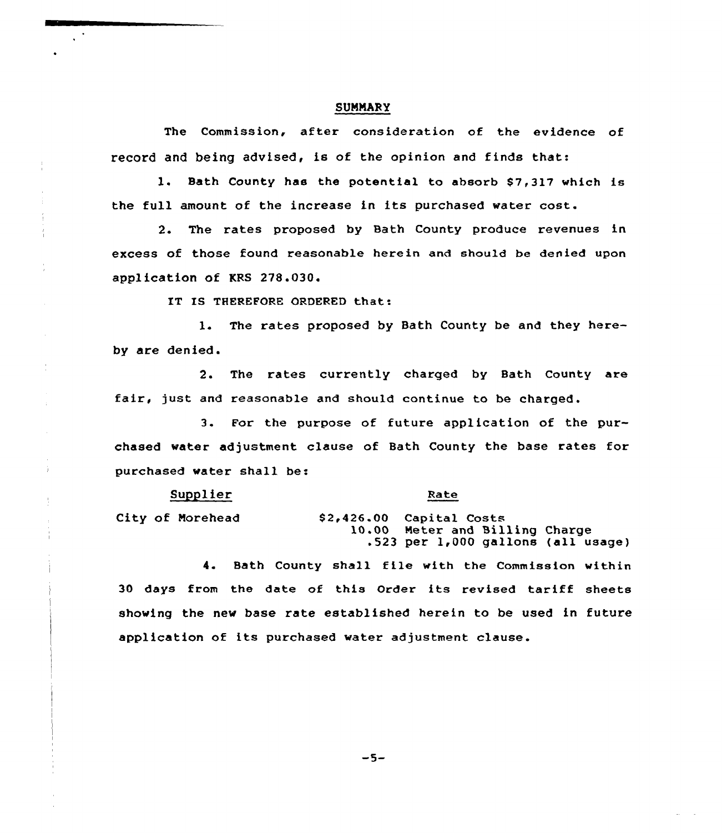### SUMMARY

The Commission, after consideration of the evidence of record and being advised, is of the opinion and finds that:

1. Bath County has the potential to absorb \$7,317 which is the full amount of the increase in its purchased water cost.

2. The rates proposed by Bath County produce revenues in excess of those found reasonable herein and should be denied upon application of KRS 278.030.

IT IS THEREFORE ORDERED that:

1. The rates proposed by Bath County be and they hereby axe denied.

2. The rates currently charged by Bath County axe fair, just and reasonable and should continue to be charged.

3. For the purpose of future application of the purchased water adjustment clause of Bath County the base rates for purchased water shall be:

Supplier

#### Rate

City of Morehead

-i

S2+426.00 Capital Costs 10.00 Meter and Billing Charge  $.523$  per  $1,000$  gallons (all usage)

4. Bath County shall file with the Commission within 30 days from the date of this Order its revised tariff sheets showing the new base rate established herein to be used in future application of its purchased water adjustment clause.

 $-5-$